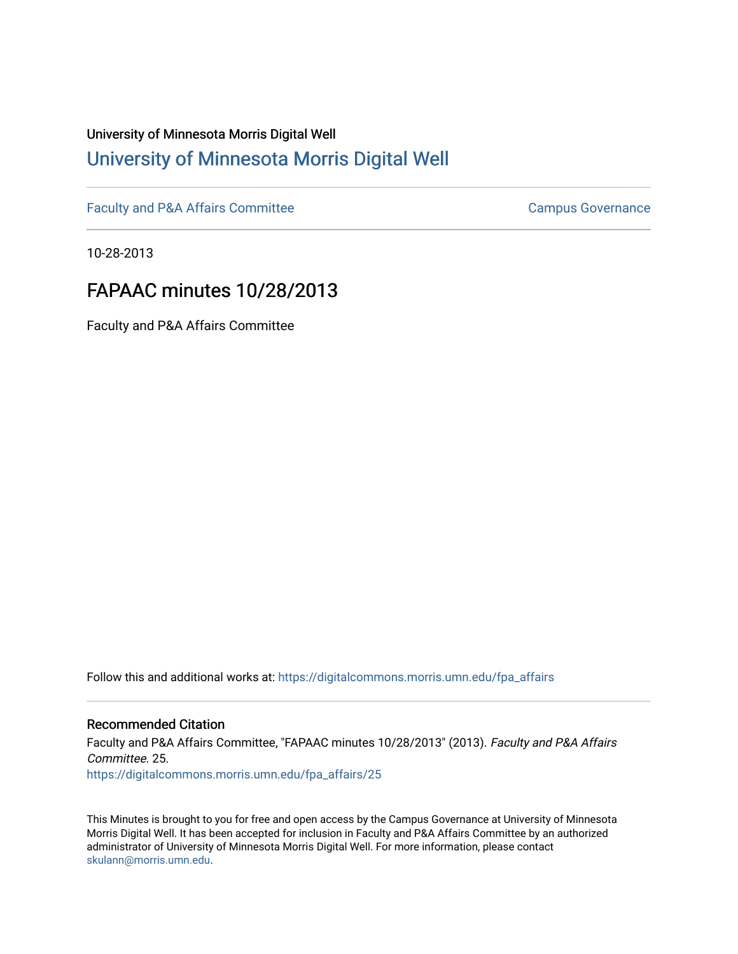## University of Minnesota Morris Digital Well [University of Minnesota Morris Digital Well](https://digitalcommons.morris.umn.edu/)

[Faculty and P&A Affairs Committee](https://digitalcommons.morris.umn.edu/fpa_affairs) [Campus Governance](https://digitalcommons.morris.umn.edu/campgov) Campus Governance

10-28-2013

## FAPAAC minutes 10/28/2013

Faculty and P&A Affairs Committee

Follow this and additional works at: [https://digitalcommons.morris.umn.edu/fpa\\_affairs](https://digitalcommons.morris.umn.edu/fpa_affairs?utm_source=digitalcommons.morris.umn.edu%2Ffpa_affairs%2F25&utm_medium=PDF&utm_campaign=PDFCoverPages)

## Recommended Citation

Faculty and P&A Affairs Committee, "FAPAAC minutes 10/28/2013" (2013). Faculty and P&A Affairs Committee. 25. [https://digitalcommons.morris.umn.edu/fpa\\_affairs/25](https://digitalcommons.morris.umn.edu/fpa_affairs/25?utm_source=digitalcommons.morris.umn.edu%2Ffpa_affairs%2F25&utm_medium=PDF&utm_campaign=PDFCoverPages) 

This Minutes is brought to you for free and open access by the Campus Governance at University of Minnesota Morris Digital Well. It has been accepted for inclusion in Faculty and P&A Affairs Committee by an authorized administrator of University of Minnesota Morris Digital Well. For more information, please contact [skulann@morris.umn.edu.](mailto:skulann@morris.umn.edu)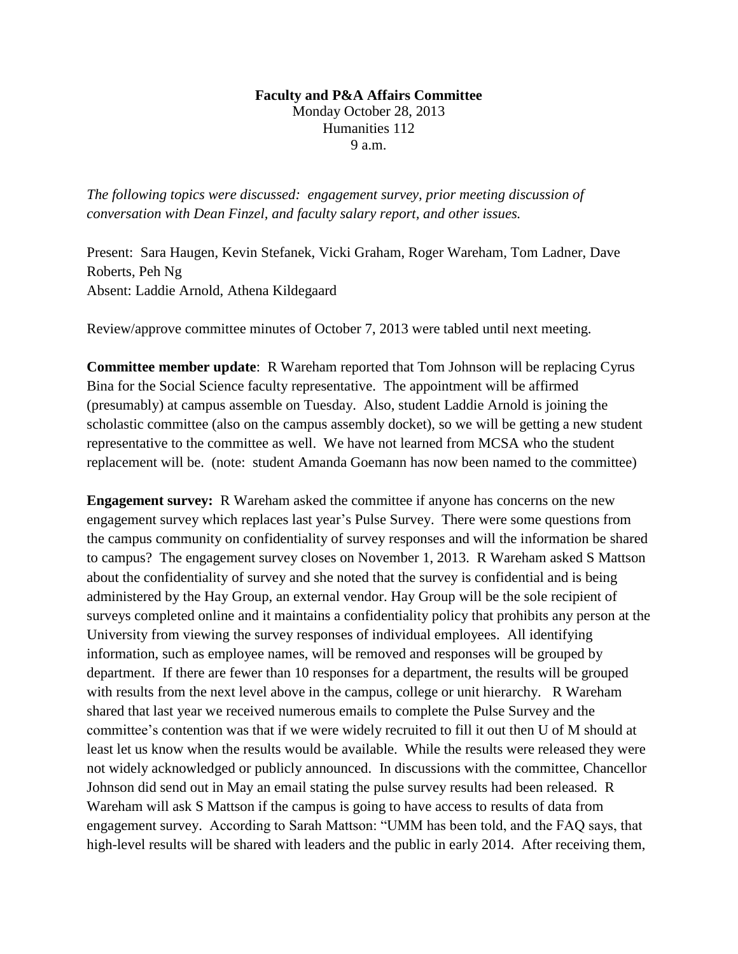## **Faculty and P&A Affairs Committee**

Monday October 28, 2013 Humanities 112 9 a.m.

*The following topics were discussed: engagement survey, prior meeting discussion of conversation with Dean Finzel, and faculty salary report, and other issues.*

Present: Sara Haugen, Kevin Stefanek, Vicki Graham, Roger Wareham, Tom Ladner, Dave Roberts, Peh Ng Absent: Laddie Arnold, Athena Kildegaard

Review/approve committee minutes of October 7, 2013 were tabled until next meeting.

**Committee member update**: R Wareham reported that Tom Johnson will be replacing Cyrus Bina for the Social Science faculty representative. The appointment will be affirmed (presumably) at campus assemble on Tuesday. Also, student Laddie Arnold is joining the scholastic committee (also on the campus assembly docket), so we will be getting a new student representative to the committee as well. We have not learned from MCSA who the student replacement will be. (note: student Amanda Goemann has now been named to the committee)

**Engagement survey:** R Wareham asked the committee if anyone has concerns on the new engagement survey which replaces last year's Pulse Survey. There were some questions from the campus community on confidentiality of survey responses and will the information be shared to campus? The engagement survey closes on November 1, 2013. R Wareham asked S Mattson about the confidentiality of survey and she noted that the survey is confidential and is being administered by the Hay Group, an external vendor. Hay Group will be the sole recipient of surveys completed online and it maintains a confidentiality policy that prohibits any person at the University from viewing the survey responses of individual employees. All identifying information, such as employee names, will be removed and responses will be grouped by department. If there are fewer than 10 responses for a department, the results will be grouped with results from the next level above in the campus, college or unit hierarchy. R Wareham shared that last year we received numerous emails to complete the Pulse Survey and the committee's contention was that if we were widely recruited to fill it out then U of M should at least let us know when the results would be available. While the results were released they were not widely acknowledged or publicly announced. In discussions with the committee, Chancellor Johnson did send out in May an email stating the pulse survey results had been released. R Wareham will ask S Mattson if the campus is going to have access to results of data from engagement survey. According to Sarah Mattson: "UMM has been told, and the FAQ says, that high-level results will be shared with leaders and the public in early 2014. After receiving them,